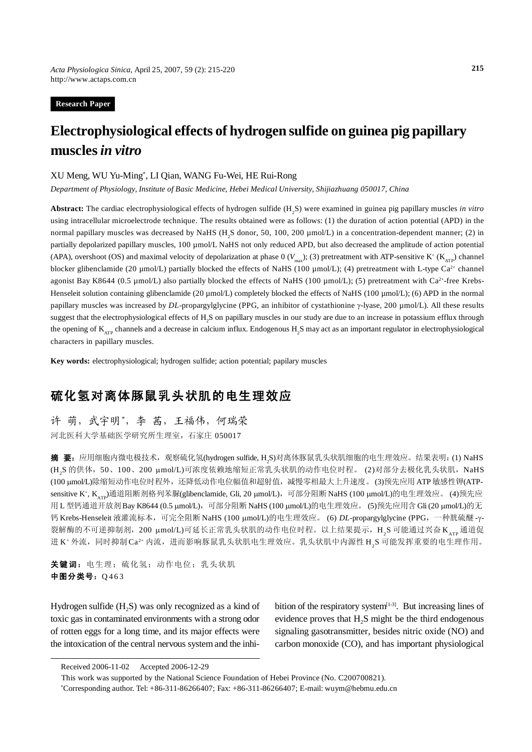**Research Paper**

# **Electrophysiological effects of hydrogen sulfide on guinea pig papillary muscles** *in vitro*

#### XU Meng, WU Yu-Ming\* , LI Qian, WANG Fu-Wei, HE Rui-Rong

*Department of Physiology, Institute of Basic Medicine, Hebei Medical University, Shijiazhuang 050017, China*

Abstract: The cardiac electrophysiological effects of hydrogen sulfide (H<sub>2</sub>S) were examined in guinea pig papillary muscles *in vitro* using intracellular microelectrode technique. The results obtained were as follows: (1) the duration of action potential (APD) in the normal papillary muscles was decreased by NaHS (H<sub>2</sub>S donor, 50, 100, 200 µmol/L) in a concentration-dependent manner; (2) in partially depolarized papillary muscles, 100 µmol/L NaHS not only reduced APD, but also decreased the amplitude of action potential (APA), overshoot (OS) and maximal velocity of depolarization at phase  $0$  ( $V_{\text{max}}$ ); (3) pretreatment with ATP-sensitive K<sup>+</sup> (K<sub>ATP</sub>) channel blocker glibenclamide (20 µmol/L) partially blocked the effects of NaHS (100 µmol/L); (4) pretreatment with L-type Ca<sup>2+</sup> channel agonist Bay K8644 (0.5 µmol/L) also partially blocked the effects of NaHS (100 µmol/L); (5) pretreatment with Ca<sup>2+</sup>-free Krebs-Henseleit solution containing glibenclamide (20 µmol/L) completely blocked the effects of NaHS (100 µmol/L); (6) APD in the normal papillary muscles was increased by *DL*-propargylglycine (PPG, an inhibitor of cystathionine γ-lyase, 200 µmol/L). All these results suggest that the electrophysiological effects of H<sub>2</sub>S on papillary muscles in our study are due to an increase in potassium efflux through the opening of  $K_{ATP}$  channels and a decrease in calcium influx. Endogenous  $H_2S$  may act as an important regulator in electrophysiological characters in papillary muscles.

**Key words:** electrophysiological; hydrogen sulfide; action potential; papilary muscles

## 硫化氢对离体豚鼠乳头状肌的电生理效应

许 萌,武宇明\*,李 茜,王福伟,何瑞荣 河北医科大学基础医学研究所生理室,石家庄 050017

**摘 要:**应用细胞内微电极技术,观察硫化氢(hydrogen sulfide, H<sub>2</sub>S)对离体豚鼠乳头状肌细胞的电生理效应。结果表明:(1) NaHS (H<sub>2</sub>S 的供体,50、100、200 μmol/L)可浓度依赖地缩短正常乳头状肌的动作电位时程。 (2)对部分去极化乳头状肌,NaHS (100 μmol/L)除缩短动作电位时程外,还降低动作电位幅值和超射值,减慢零相最大上升速度。 (3)预先应用ATP 敏感性钾(ATPsensitive K+, K<sub>ATP</sub>)通道阻断剂格列苯脲(glibenclamide, Gli, 20 μmol/L),可部分阻断 NaHS (100 μmol/L)的电生理效应。 (4)预先应 用 L 型钙通道开放剂 Bay K8644 (0.5 μmol/L), 可部分阻断 NaHS (100 μmol/L)的电生理效应。 (5)预先应用含 Gli (20 μmol/L)的无 钙 Krebs-Henseleit 液灌流标本,可完全阻断 NaHS (100 μmol/L)的电生理效应。 (6) *DL*-propargylglycine (PPG, 一种胱硫醚 -γ-裂解酶的不可逆抑制剂,200 μmol/L)可延长正常乳头状肌的动作电位时程。以上结果提示,H<sub>2</sub>S 可能通过兴奋 K<sub>ATP</sub>通道促 进 K+外流,同时抑制 Ca<sup>2+</sup> 内流,进而影响豚鼠乳头状肌电生理效应。乳头状肌中内源性 H<sub>2</sub>S 可能发挥重要的电生理作用。

关键词: 电生理;硫化氢;动作电位;乳头状肌 中图分类号: Q463

Hydrogen sulfide  $(H<sub>2</sub>S)$  was only recognized as a kind of toxic gas in contaminated environments with a strong odor of rotten eggs for a long time, and its major effects were the intoxication of the central nervous system and the inhibition of the respiratory system $[1-3]$ . But increasing lines of evidence proves that  $H_2S$  might be the third endogenous signaling gasotransmitter, besides nitric oxide (NO) and carbon monoxide (CO), and has important physiological

This work was supported by the National Science Foundation of Hebei Province (No. C200700821).

\* Corresponding author. Tel: +86-311-86266407; Fax: +86-311-86266407; E-mail: wuym@hebmu.edu.cn

Received 2006-11-02 Accepted 2006-12-29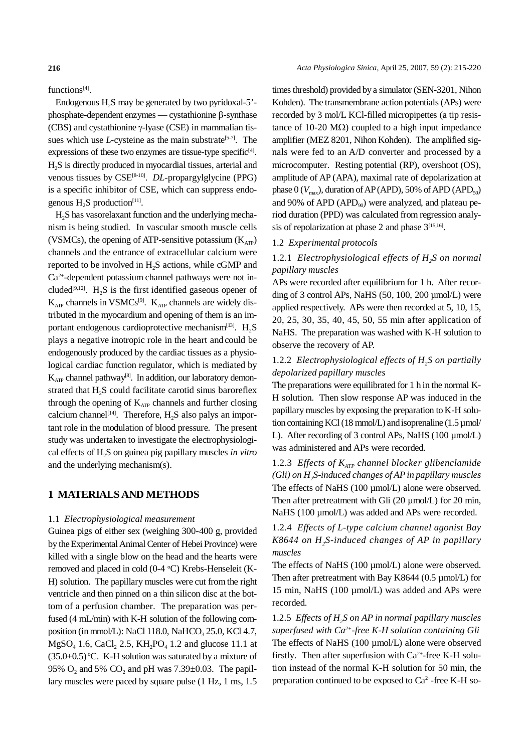functions<sup>[4]</sup>.

Endogenous  $H_2S$  may be generated by two pyridoxal-5'phosphate-dependent enzymes — cystathionine β-synthase (CBS) and cystathionine γ-lyase (CSE) in mammalian tissues which use *L*-cysteine as the main substrate<sup>[5-7]</sup>. The expressions of these two enzymes are tissue-type specific $[4]$ . H2S is directly produced in myocardial tissues, arterial and venous tissues by CSE<sup>[8-10]</sup>. *DL*-propargylglycine (PPG) is a specific inhibitor of CSE, which can suppress endogenous  $H_2S$  production<sup>[11]</sup>.

H2S has vasorelaxant function and the underlying mechanism is being studied. In vascular smooth muscle cells (VSMCs), the opening of ATP-sensitive potassium  $(K<sub>ATP</sub>)$ channels and the entrance of extracellular calcium were reported to be involved in H<sub>2</sub>S actions, while cGMP and Ca2+-dependent potassium channel pathways were not included<sup>[9,12]</sup>.  $H_2S$  is the first identified gaseous opener of  $K_{AP}$  channels in VSMCs<sup>[9]</sup>.  $K_{AP}$  channels are widely distributed in the myocardium and opening of them is an important endogenous cardioprotective mechanism $[13]$ . H<sub>2</sub>S plays a negative inotropic role in the heart and could be endogenously produced by the cardiac tissues as a physiological cardiac function regulator, which is mediated by  $K_{ATP}$  channel pathway<sup>[8]</sup>. In addition, our laboratory demonstrated that  $H<sub>2</sub>S$  could facilitate carotid sinus baroreflex through the opening of  $K_{ATP}$  channels and further closing calcium channel<sup>[14]</sup>. Therefore,  $H_2S$  also palys an important role in the modulation of blood pressure. The present study was undertaken to investigate the electrophysiological effects of H2S on guinea pig papillary muscles *in vitro* and the underlying mechanism(s).

### **1 MATERIALS AND METHODS**

#### 1.1 *Electrophysiological measurement*

Guinea pigs of either sex (weighing 300-400 g, provided by the Experimental Animal Center of Hebei Province) were killed with a single blow on the head and the hearts were removed and placed in cold (0-4 °C) Krebs-Henseleit (K-H) solution. The papillary muscles were cut from the right ventricle and then pinned on a thin silicon disc at the bottom of a perfusion chamber. The preparation was perfused (4 mL/min) with K-H solution of the following composition (in mmol/L): NaCl 118.0, NaHCO<sub>3</sub> 25.0, KCl 4.7,  $MgSO_4$  1.6, CaCl, 2.5, KH<sub>2</sub>PO<sub>4</sub> 1.2 and glucose 11.1 at  $(35.0\pm0.5)$  °C. K-H solution was saturated by a mixture of 95%  $O_2$  and 5%  $CO_2$  and pH was 7.39 $\pm$ 0.03. The papillary muscles were paced by square pulse (1 Hz, 1 ms, 1.5

times threshold) provided by a simulator (SEN-3201, Nihon Kohden). The transmembrane action potentials (APs) were recorded by 3 mol/L KCl-filled micropipettes (a tip resistance of 10-20 MΩ) coupled to a high input impedance amplifier (MEZ 8201, Nihon Kohden). The amplified signals were fed to an A/D converter and processed by a microcomputer. Resting potential (RP), overshoot (OS), amplitude of AP (APA), maximal rate of depolarization at phase  $0 (V_{\text{max}})$ , duration of AP (APD), 50% of APD (APD<sub>50</sub>) and 90% of APD (APD $_{90}$ ) were analyzed, and plateau period duration (PPD) was calculated from regression analysis of repolarization at phase 2 and phase  $3^{[15,16]}$ .

#### 1.2 *Experimental protocols*

### 1.2.1 *Electrophysiological effects of H<sub>2</sub>S on normal papillary muscles*

APs were recorded after equilibrium for 1 h. After recording of 3 control APs, NaHS  $(50, 100, 200 \mu mol/L)$  were applied respectively. APs were then recorded at 5, 10, 15, 20, 25, 30, 35, 40, 45, 50, 55 min after application of NaHS. The preparation was washed with K-H solution to observe the recovery of AP.

### 1.2.2 *Electrophysiological effects of H<sub>2</sub>S on partially depolarized papillary muscles*

The preparations were equilibrated for 1 h in the normal K-H solution. Then slow response AP was induced in the papillary muscles by exposing the preparation to K-H solution containing KCl (18 mmol/L) and isoprenaline  $(1.5 \,\mu$ mol/ L). After recording of 3 control APs, NaHS (100 µmol/L) was administered and APs were recorded.

1.2.3 *Effects of K<sub>ATP</sub> channel blocker glibenclamide (Gli) on H2S-induced changes of AP in papillary muscles* The effects of NaHS (100 µmol/L) alone were observed. Then after pretreatment with Gli  $(20 \mu \text{mol/L})$  for 20 min, NaHS (100 µmol/L) was added and APs were recorded.

1.2.4 *Effects of L-type calcium channel agonist Bay K8644 on H2S-induced changes of AP in papillary muscles*

The effects of NaHS (100 µmol/L) alone were observed. Then after pretreatment with Bay K8644 (0.5 µmol/L) for 15 min, NaHS (100 µmol/L) was added and APs were recorded.

1.2.5 *Effects of H2S on AP in normal papillary muscles superfused with Ca2+-free K-H solution containing Gli* The effects of NaHS (100 µmol/L) alone were observed firstly. Then after superfusion with  $Ca^{2+}$ -free K-H solution instead of the normal K-H solution for 50 min, the preparation continued to be exposed to Ca2+-free K-H so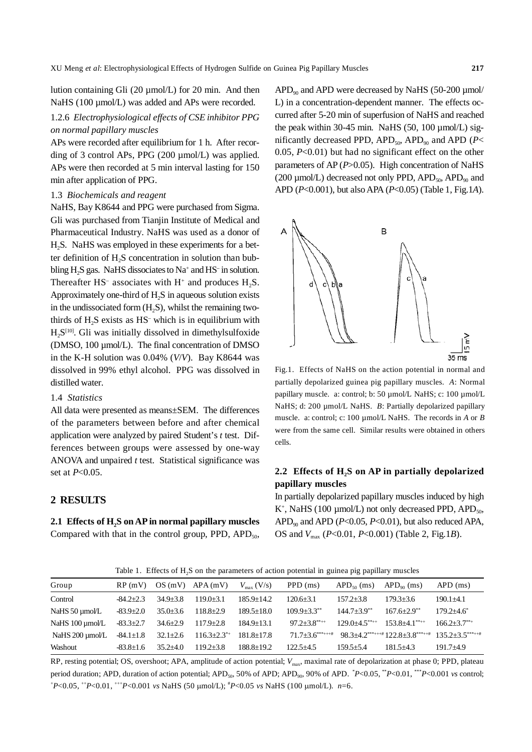lution containing Gli (20 µmol/L) for 20 min. And then NaHS (100 µmol/L) was added and APs were recorded.

### 1.2.6 *Electrophysiological effects of CSE inhibitor PPG on normal papillary muscles*

APs were recorded after equilibrium for 1 h. After recording of 3 control APs, PPG (200 µmol/L) was applied. APs were then recorded at 5 min interval lasting for 150 min after application of PPG.

#### 1.3 *Biochemicals and reagent*

NaHS, Bay K8644 and PPG were purchased from Sigma. Gli was purchased from Tianjin Institute of Medical and Pharmaceutical Industry. NaHS was used as a donor of H2S. NaHS was employed in these experiments for a better definition of H<sub>2</sub>S concentration in solution than bubbling H<sub>2</sub>S gas. NaHS dissociates to Na<sup>+</sup> and HS<sup>-</sup> in solution. Thereafter HS<sup>-</sup> associates with  $H^+$  and produces  $H_2S$ . Approximately one-third of H<sub>2</sub>S in aqueous solution exists in the undissociated form  $(H, S)$ , whilst the remaining twothirds of  $H_2S$  exists as  $HS^-$  which is in equilibrium with H<sub>2</sub>S<sup>[10]</sup>. Gli was initially dissolved in dimethylsulfoxide (DMSO, 100 µmol/L). The final concentration of DMSO in the K-H solution was 0.04% (*V*/*V*). Bay K8644 was dissolved in 99% ethyl alcohol. PPG was dissolved in distilled water.

#### 1.4 *Statistics*

All data were presented as means±SEM. The differences of the parameters between before and after chemical application were analyzed by paired Student's *t* test. Differences between groups were assessed by one-way ANOVA and unpaired *t* test. Statistical significance was set at *P*<0.05.

#### **2 RESULTS**

2.1 Effects of H<sub>2</sub>S on AP in normal papillary muscles Compared with that in the control group, PPD,  $APD<sub>50</sub>$ ,  $APD<sub>90</sub>$  and APD were decreased by NaHS (50-200 µmol/ L) in a concentration-dependent manner. The effects occurred after 5-20 min of superfusion of NaHS and reached the peak within 30-45 min. NaHS  $(50, 100 \mu \text{mol/L})$  significantly decreased PPD,  $APD_{50}$ ,  $APD_{90}$  and  $APD$  ( $P<$ 0.05, *P*<0.01) but had no significant effect on the other parameters of AP (*P*>0.05). High concentration of NaHS (200  $\mu$ mol/L) decreased not only PPD, APD<sub>50</sub>, APD<sub>90</sub> and APD (*P*<0.001), but also APA (*P*<0.05) (Table 1, Fig.1*A*).



Fig.1. Effects of NaHS on the action potential in normal and partially depolarized guinea pig papillary muscles. *A*: Normal papillary muscle. a: control; b: 50 µmol/L NaHS; c: 100 µmol/L NaHS; d: 200 µmol/L NaHS. *B*: Partially depolarized papillary muscle. a: control; c: 100 µmol/L NaHS. The records in *A* or *B* were from the same cell. Similar results were obtained in others cells.

### 2.2 Effects of H<sub>2</sub>S on AP in partially depolarized **papillary muscles**

In partially depolarized papillary muscles induced by high K<sup>+</sup>, NaHS (100  $\mu$ mol/L) not only decreased PPD, APD<sub>50</sub>, APD<sub>90</sub> and APD (*P*<0.05, *P*<0.01), but also reduced APA, OS and *V*max (*P*<0.01, *P*<0.001) (Table 2, Fig.1*B*).

Table 1. Effects of  $H<sub>2</sub>S$  on the parameters of action potential in guinea pig papillary muscles

| Group           | RP(mV)          |                | $OS(mV)$ APA $(mV)$ | $V_{\text{max}}$ (V/s) | PPD (ms)                     | $APD50$ (ms)                  | $APDoo$ (ms)                                                                          | $APD$ (ms)       |
|-----------------|-----------------|----------------|---------------------|------------------------|------------------------------|-------------------------------|---------------------------------------------------------------------------------------|------------------|
| Control         | $-84.2+2.3$     | $34.9 + 3.8$   | $119.0 + 3.1$       | $185.9 + 14.2$         | $120.6 + 3.1$                | $157.2 + 3.8$                 | $179.3 + 3.6$                                                                         | $190.1 + 4.1$    |
| NaHS 50 µmol/L  | $-83.9 \pm 2.0$ | $35.0 + 3.6$   | $118.8 + 2.9$       | $189.5 + 18.0$         | $109.9 + 3.3^{**}$           | $144.7 + 3.9^{**}$            | $167.6 + 2.9$ <sup>**</sup>                                                           | $179.2 + 4.6^*$  |
| NaHS 100 umol/L | $-83.3 \pm 2.7$ | $34.6 \pm 2.9$ | $117.9 + 2.8$       | $184.9 + 13.1$         | $97.2 + 3.8$ <sup>**++</sup> | $129.0 + 4.5$ <sup>**++</sup> | $153.8 + 4.1***$                                                                      | $166.2 + 3.7***$ |
| NaHS 200 umol/L | $-84.1 \pm 1.8$ | $32.1 \pm 2.6$ | $116.3 + 2.3^{*+}$  | $181.8 + 17.8$         | $71.7+3.6******$             |                               | $98.3+4.2$ <sup>***+++#</sup> 122.8+3.8 <sup>***++#</sup> 135.2+3.5 <sup>***++#</sup> |                  |
| Washout         | $-83.8+1.6$     | $35.2 + 4.0$   | $119.2 + 3.8$       | $188.8 + 19.2$         | $122.5 + 4.5$                | $159.5 + 5.4$                 | $181.5 + 4.3$                                                                         | $191.7 + 4.9$    |

RP, resting potential; OS, overshoot; APA, amplitude of action potential; *V*max, maximal rate of depolarization at phase 0; PPD, plateau period duration; APD, duration of action potential; APD<sub>50</sub>, 50% of APD; APD<sub>90</sub>, 90% of APD.  $\degree$ *P*<0.05,  $\degree$ *P*<0.01,  $\degree$ <sup>\*</sup>*P*<0.001 *vs* control; + *P*<0.05, ++*P*<0.01, +++*P*<0.001 *vs* NaHS (50 μmol/L); # *P*<0.05 *vs* NaHS (100 μmol/L). *n*=6.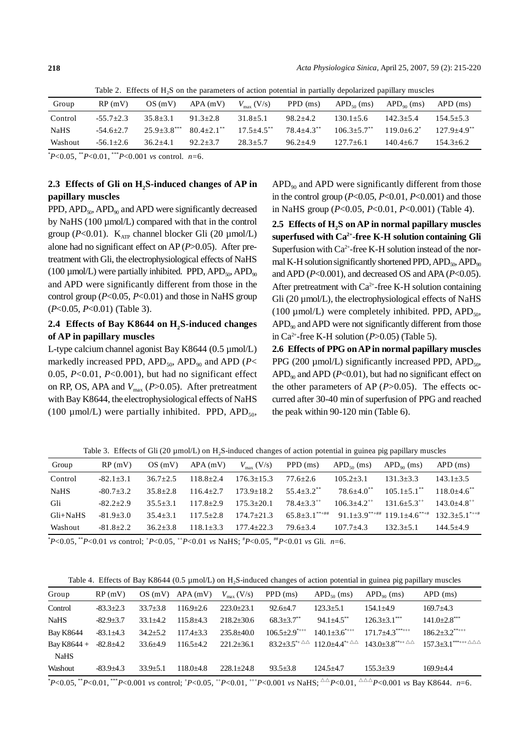Table 2. Effects of  $H_2S$  on the parameters of action potential in partially depolarized papillary muscles

| Group       | RP(mV)        | OS(mV)       | $APA$ (mV)                 | $V_{\text{max}}$ (V/s)     | PPD (ms)                   | $APD50$ (ms)            | $APDoo$ (ms)  | APD (ms)                    |
|-------------|---------------|--------------|----------------------------|----------------------------|----------------------------|-------------------------|---------------|-----------------------------|
| Control     | $-55.7+2.3$   | $35.8 + 3.1$ | $91.3 + 2.8$               | $31.8 + 5.1$               | $98.2 + 4.2$               | $130.1 + 5.6$           | $142.3 + 5.4$ | $154.5 + 5.3$               |
| <b>NaHS</b> | $-54.6+2.7$   |              | $25.9+3.8$ *** 80.4+2.1 ** | $17.5 + 4.5$ <sup>**</sup> | $78.4 + 4.3$ <sup>**</sup> | $106.3+5.7$ $119.0+6.2$ |               | $127.9 + 4.9$ <sup>**</sup> |
| Washout     | $-56.1 + 2.6$ | $36.2 + 4.1$ | $92.2 + 3.7$               | $28.3 + 5.7$               | $96.2 \pm 4.9$             | $127.7 \pm 6.1$         | $140.4 + 6.7$ | $154.3 + 6.2$               |
|             |               |              |                            |                            |                            |                         |               |                             |

\* *P*<0.05, \*\**P*<0.01, \*\*\**P*<0.001 *vs* control. *n*=6.

### 2.3 Effects of Gli on H<sub>2</sub>S-induced changes of AP in **papillary muscles**

PPD,  $APD_{50}$ ,  $APD_{90}$  and  $APD$  were significantly decreased by NaHS (100 µmol/L) compared with that in the control group ( $P<0.01$ ). K<sub>ATP</sub> channel blocker Gli (20  $\mu$ mol/L) alone had no significant effect on AP (*P*>0.05). After pretreatment with Gli, the electrophysiological effects of NaHS (100  $\mu$ mol/L) were partially inhibited. PPD, APD<sub>50</sub>, APD<sub>90</sub> and APD were significantly different from those in the control group (*P*<0.05, *P*<0.01) and those in NaHS group (*P*<0.05, *P*<0.01) (Table 3).

### 2.4 Effects of Bay K8644 on H<sub>2</sub>S-induced changes **of AP in papillary muscles**

L-type calcium channel agonist Bay K8644 (0.5 µmol/L) markedly increased PPD,  $APD_{50}$ ,  $APD_{90}$  and  $APD$  ( $P<$ 0.05, *P*<0.01, *P*<0.001), but had no significant effect on RP, OS, APA and  $V_{\text{max}}$  ( $P > 0.05$ ). After pretreatment with Bay K8644, the electrophysiological effects of NaHS (100  $\mu$ mol/L) were partially inhibited. PPD, APD<sub>50</sub>,  $APD<sub>90</sub>$  and  $APD$  were significantly different from those in the control group  $(P<0.05, P<0.01, P<0.001)$  and those in NaHS group (*P*<0.05, *P*<0.01, *P*<0.001) (Table 4).

2.5 Effects of H<sub>2</sub>S on AP in normal papillary muscles **superfused with Ca2+-free K-H solution containing Gli** Superfusion with  $Ca^{2+}$ -free K-H solution instead of the normal K-H solution significantly shortened PPD,  $APD<sub>50</sub>$ ,  $APD<sub>90</sub>$ and APD (*P*<0.001), and decreased OS and APA (*P*<0.05). After pretreatment with  $Ca^{2+}$ -free K-H solution containing Gli (20  $\mu$ mol/L), the electrophysiological effects of NaHS (100  $\mu$ mol/L) were completely inhibited. PPD, APD<sub>50</sub>,  $APD<sub>90</sub>$  and APD were not significantly different from those in Ca<sup>2+</sup>-free K-H solution ( $P > 0.05$ ) (Table 5).

**2.6 Effects of PPG on AP in normal papillary muscles** PPG (200  $\mu$ mol/L) significantly increased PPD, APD<sub>50</sub>,  $APD<sub>90</sub>$  and  $APD$  ( $P<0.01$ ), but had no significant effect on the other parameters of AP (*P*>0.05). The effects occurred after 30-40 min of superfusion of PPG and reached the peak within 90-120 min (Table 6).

Table 3. Effects of Gli (20  $\mu$ mol/L) on H<sub>2</sub>S-induced changes of action potential in guinea pig papillary muscles

| Group       | RP(mV)      | OS(mV)       | $APA$ (mV)    | $V_{\text{max}}$ (V/s) | PPD (ms)                   | $APD_{50}$ (ms)                                           | $APD_{\omega_0}$ (ms)       | $APD$ (ms)                  |
|-------------|-------------|--------------|---------------|------------------------|----------------------------|-----------------------------------------------------------|-----------------------------|-----------------------------|
| Control     | $-82.1+3.1$ | $36.7 + 2.5$ | $118.8 + 2.4$ | $176.3 + 15.3$         | $77.6 + 2.6$               | $105.2 + 3.1$                                             | $131.3 + 3.3$               | $143.1 + 3.5$               |
| <b>NaHS</b> | $-80.7+3.2$ | $35.8 + 2.8$ | $116.4 + 2.7$ | $173.9 + 18.2$         | $55.4 + 3.2$ <sup>**</sup> | $78.6 + 4.0$ <sup>**</sup>                                | $105.1 + 5.1$ <sup>**</sup> | $118.0 + 4.6$ <sup>**</sup> |
| Gli         | $-82.2+2.9$ | $35.5 + 3.1$ | $117.8 + 2.9$ | $175.3 + 20.1$         | $78.4 + 3.3^{++}$          | $106.3 + 4.2^{+4}$                                        | $131.6 + 5.3^{++}$          | $143.0 + 4.8^{++}$          |
| Gli+NaHS    | $-81.9+3.0$ | $35.4 + 3.1$ | $117.5 + 2.8$ | $174.7+21.3$           |                            | $65.8+3.1***$ $91.1+3.9***$ $119.1+4.6***$ $132.3+5.1***$ |                             |                             |
| Washout     | $-81.8+2.2$ | $36.2 + 3.8$ | $118.1 + 3.3$ | $177.4 + 22.3$         | 79.6±3.4                   | $107.7 + 4.3$                                             | $132.3 + 5.1$               | $144.5 + 4.9$               |

\* *P*<0.05, \*\**P*<0.01 *vs* control; + *P*<0.05, ++*P*<0.01 *vs* NaHS; # *P*<0.05, ##*P*<0.01 *vs* Gli. *n*=6.

Table 4. Effects of Bay K8644 (0.5  $\mu$ mol/L) on H<sub>2</sub>S-induced changes of action potential in guinea pig papillary muscles

| Group            | RP(mV)          |                | $OS(mV)$ APA $(mV)$ | $V_{\text{max}}$ (V/s) | PPD (ms)                        | $APD_{50}$ (ms)                                                                          | $APDoo$ (ms)                                                    | $APD$ (ms)                                            |
|------------------|-----------------|----------------|---------------------|------------------------|---------------------------------|------------------------------------------------------------------------------------------|-----------------------------------------------------------------|-------------------------------------------------------|
| Control          | $-83.3+2.3$     | $33.7 + 3.8$   | $116.9 + 2.6$       | $223.0+23.1$           | $92.6 + 4.7$                    | $123.3 + 5.1$                                                                            | $154.1 + 4.9$                                                   | $169.7 + 4.3$                                         |
| <b>NaHS</b>      | $-82.9+3.7$     | $33.1 + 4.2$   | $115.8 + 4.3$       | $218.2 + 30.6$         | $68.3 + 3.7$                    | $94.1 + 4.5$ <sup>**</sup>                                                               | $126.3+3.1***$                                                  | $141.0 + 2.8$ ***                                     |
| <b>Bay K8644</b> | $-83.1 \pm 4.3$ | $34.2 + 5.2$   | $117.4 + 3.3$       | $235.8 + 40.0$         | $106.5 \pm 2.9$ <sup>****</sup> | $140.1 + 3.6$ ****                                                                       | $171.7 + 4.3***$                                                | $186.2 \pm 3.2$ *****                                 |
| Bay K8644 +      | $-82.8+4.2$     | $33.6 \pm 4.9$ | $116.5 + 4.2$       | $221.2 + 36.1$         |                                 | $83.2+3.5^{*+\triangle\triangle}$ 112.0+4.4 <sup>*+<math>\triangle\triangle</math></sup> | $143.0 \pm 3.8$ <sup>**++ <math>\triangle\triangle</math></sup> | $157.3 \pm 3.1$ ***++ $\triangle \triangle \triangle$ |
| <b>NaHS</b>      |                 |                |                     |                        |                                 |                                                                                          |                                                                 |                                                       |
| Washout          | $-83.9+4.3$     | $33.9 + 5.1$   | $118.0 + 4.8$       | $228.1 + 24.8$         | $93.5 \pm 3.8$                  | $124.5 + 4.7$                                                                            | $155.3 + 3.9$                                                   | $169.9 + 4.4$                                         |
|                  |                 |                |                     |                        |                                 |                                                                                          |                                                                 |                                                       |

\* *P*<0.05, \*\**P*<0.01, \*\*\**P*<0.001 *vs* control; + *P*<0.05, ++*P*<0.01, +++*P*<0.001 *vs* NaHS; △△*P*<0.01, △△△*P*<0.001 *vs* Bay K8644. *n*=6.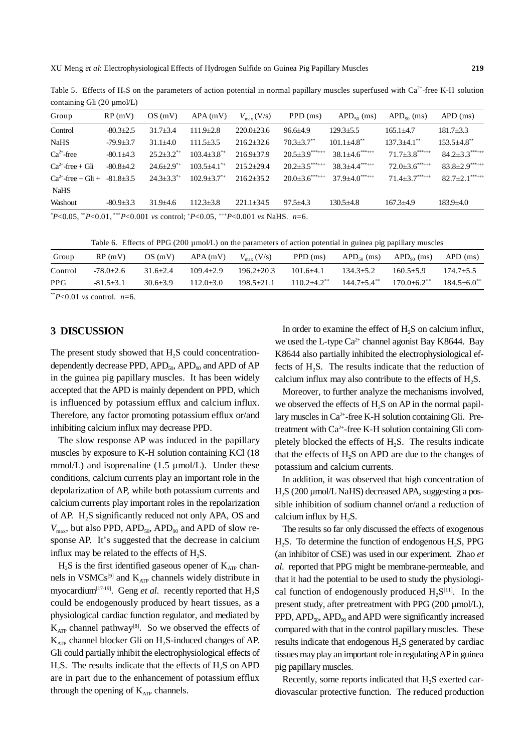| Group                   | RP(mV)          | OS(mV)                       | $APA$ (mV)                  | $V_{\text{max}}$ (V/s) | $PPD$ (ms)                   | $APD_{50}$ (ms)                | $APD90$ (ms)                  | $APD$ (ms)                       |
|-------------------------|-----------------|------------------------------|-----------------------------|------------------------|------------------------------|--------------------------------|-------------------------------|----------------------------------|
| Control                 | $-80.3 \pm 2.5$ | $31.7 + 3.4$                 | $111.9 \pm 2.8$             | $220.0+23.6$           | $96.6 \pm 4.9$               | $129.3 + 5.5$                  | $165.1 + 4.7$                 | $181.7 \pm 3.3$                  |
| <b>NaHS</b>             | $-79.9+3.7$     | $31.1 + 4.0$                 | $111.5 + 3.5$               | $216.2 + 32.6$         | $70.3 \pm 3.7$ **            | $101.1 + 4.8$ **               | $137.3 \pm 4.1$ <sup>**</sup> | $153.5 + 4.8$ **                 |
| $Ca2+$ -free            | $-80.1 \pm 4.3$ | $25.2 + 3.2^{*+}$            | $103.4 + 3.8^{*+}$          | $216.9 + 37.9$         | $20.5 \pm 3.9$ ***+++        | $38.1 + 4.6$ ***               | $71.7 + 3.8***$               | $84.2 + 3.3***$                  |
| $Ca^{2+}$ -free + Gli   | $-80.8+4.2$     | $24.6 + 2.9^{*+}$            | $103.5+4.1$ <sup>*+</sup>   | $215.2+29.4$           | $20.2 \pm 3.5$ ***+++        | $38.3 + 4.4***$                | $72.0 \pm 3.6$ ******         | $83.8 \pm 2.9$ *******           |
| $Ca^{2+}$ -free + Gli + | $-81.8+3.5$     | $24.3 \pm 3.3$ <sup>**</sup> | $102.9 + 3.7$ <sup>*+</sup> | $216.2 + 35.2$         | $20.0+3.6$ <sup>***+++</sup> | $37.9 + 4.0$ <sup>***+++</sup> | $71.4 + 3.7***$               | $82.7 \pm 2.1$ <sup>***+++</sup> |
| <b>NaHS</b>             |                 |                              |                             |                        |                              |                                |                               |                                  |
| Washout                 | $-80.9 \pm 3.3$ | $31.9 \pm 4.6$               | $112.3 \pm 3.8$             | $221.1 + 34.5$         | $97.5 \pm 4.3$               | $130.5+4.8$                    | $167.3 \pm 4.9$               | $183.9 \pm 4.0$                  |
|                         |                 |                              |                             |                        |                              |                                |                               |                                  |

Table 5. Effects of H<sub>2</sub>S on the parameters of action potential in normal papillary muscles superfused with Ca<sup>2+</sup>-free K-H solution containing Gli (20 µmol/L)

\* *P*<0.05, \*\**P*<0.01, \*\*\**P*<0.001 *vs* control; + *P*<0.05, +++*P*<0.001 *vs* NaHS. *n*=6.

Table 6. Effects of PPG (200 µmol/L) on the parameters of action potential in guinea pig papillary muscles

| Group      | RP(mV)      | OS(mV)       | APA(mV)       | $V_{\text{max}}$ (V/s) | PPD (ms)                    | $APD_{50}$ (ms)             | $APD_{\omega_0}$ (ms) | $APD$ (ms)                  |
|------------|-------------|--------------|---------------|------------------------|-----------------------------|-----------------------------|-----------------------|-----------------------------|
| Control    | $-78.0+2.6$ | $31.6 + 2.4$ | $109.4 + 2.9$ | $196.2 + 20.3$         | $101.6 + 4.1$               | $134.3 \pm 5.2$             | $160.5 \pm 5.9$       | $174.7 + 5.5$               |
| <b>PPG</b> | $-81.5+3.1$ | $30.6 + 3.9$ | $112.0 + 3.0$ | $198.5 + 21.1$         | $110.2 + 4.2$ <sup>**</sup> | $144.7 + 5.4$ <sup>**</sup> | $170.0 + 6.2$         | $184.5 + 6.0$ <sup>**</sup> |

 $*$ <sup>\*</sup>*P*<0.01 *vs* control. *n*=6.

### **3 DISCUSSION**

The present study showed that  $H<sub>2</sub>S$  could concentrationdependently decrease PPD,  $APD_{50}$ ,  $APD_{90}$  and  $APD$  of  $AP$ in the guinea pig papillary muscles. It has been widely accepted that the APD is mainly dependent on PPD, which is influenced by potassium efflux and calcium influx. Therefore, any factor promoting potassium efflux or/and inhibiting calcium influx may decrease PPD.

The slow response AP was induced in the papillary muscles by exposure to K-H solution containing KCl (18 mmol/L) and isoprenaline  $(1.5 \mu \text{mol/L})$ . Under these conditions, calcium currents play an important role in the depolarization of AP, while both potassium currents and calcium currents play important roles in the repolarization of AP. H2S significantly reduced not only APA, OS and  $V_{\text{max}}$ , but also PPD, APD<sub>50</sub>, APD<sub>90</sub> and APD of slow response AP. It's suggested that the decrease in calcium influx may be related to the effects of  $H_2S$ .

 $H_2S$  is the first identified gaseous opener of  $K_{ATP}$  channels in VSMCs<sup>[9]</sup> and  $K_{ATP}$  channels widely distribute in myocardium<sup>[17-19]</sup>. Geng *et al.* recently reported that  $H_2S$ could be endogenously produced by heart tissues, as a physiological cardiac function regulator, and mediated by  $K_{ATP}$  channel pathway<sup>[8]</sup>. So we observed the effects of  $K_{ATP}$  channel blocker Gli on H<sub>2</sub>S-induced changes of AP. Gli could partially inhibit the electrophysiological effects of  $H<sub>2</sub>S$ . The results indicate that the effects of  $H<sub>2</sub>S$  on APD are in part due to the enhancement of potassium efflux through the opening of  $K_{ATP}$  channels.

In order to examine the effect of  $H<sub>2</sub>S$  on calcium influx, we used the L-type  $Ca^{2+}$  channel agonist Bay K8644. Bay K8644 also partially inhibited the electrophysiological effects of H<sub>2</sub>S. The results indicate that the reduction of calcium influx may also contribute to the effects of  $H_2S$ .

Moreover, to further analyze the mechanisms involved, we observed the effects of  $H_2S$  on AP in the normal papillary muscles in  $Ca^{2+}$ -free K-H solution containing Gli. Pretreatment with Ca2+-free K-H solution containing Gli completely blocked the effects of  $H_2S$ . The results indicate that the effects of  $H_2S$  on APD are due to the changes of potassium and calcium currents.

In addition, it was observed that high concentration of H<sub>2</sub>S (200 µmol/L NaHS) decreased APA, suggesting a possible inhibition of sodium channel or/and a reduction of calcium influx by  $H_2S$ .

The results so far only discussed the effects of exogenous  $H<sub>2</sub>S$ . To determine the function of endogenous  $H<sub>2</sub>S$ , PPG (an inhibitor of CSE) was used in our experiment. Zhao *et al*. reported that PPG might be membrane-permeable, and that it had the potential to be used to study the physiological function of endogenously produced  $H_2S^{[11]}$ . In the present study, after pretreatment with PPG (200 µmol/L),  $PPD$ ,  $APD<sub>50</sub>$ ,  $APD<sub>90</sub>$  and  $APD$  were significantly increased compared with that in the control papillary muscles. These results indicate that endogenous H<sub>2</sub>S generated by cardiac tissues may play an important role in regulating AP in guinea pig papillary muscles.

Recently, some reports indicated that H<sub>2</sub>S exerted cardiovascular protective function. The reduced production